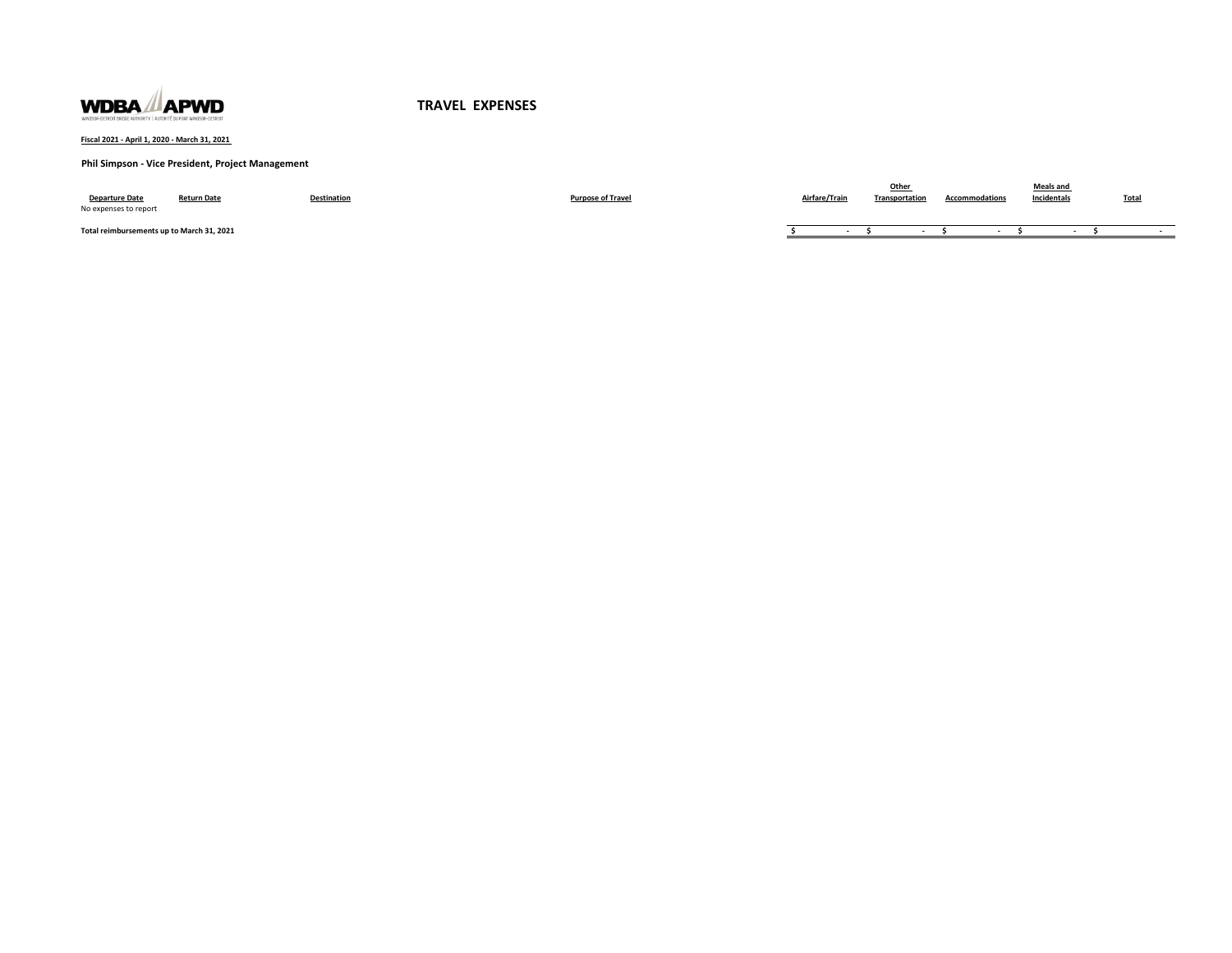

**Fiscal 2021 - April 1, 2020 - March 31, 2021** 

### **Phil Simpson - Vice President, Project Management**

| <b>Departure Date</b><br>No expenses to report | <b>Return Date</b> | <b>Destination</b> | <b>Purpose of Travel</b> | Airfare/Trair | Transportation | <b>Accommodations</b> | Meals and<br>Incidentals | <b>Total</b> |
|------------------------------------------------|--------------------|--------------------|--------------------------|---------------|----------------|-----------------------|--------------------------|--------------|
| Total reimbursements up to March 31, 2021      |                    |                    |                          |               |                |                       |                          |              |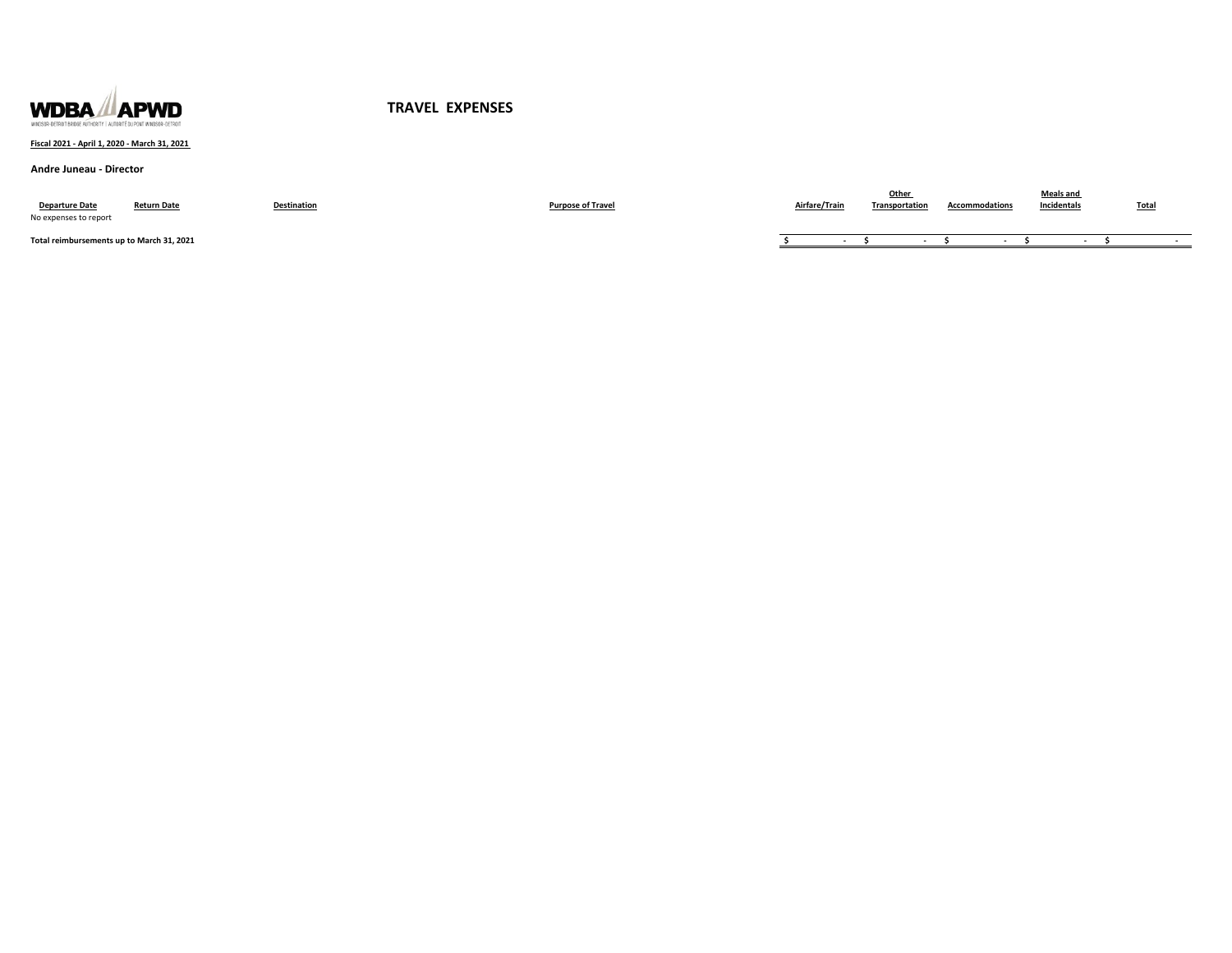

### **Fiscal 2021 - April 1, 2020 - March 31, 2021**

#### **Andre Juneau - Director**

| <b>Departure Date</b><br>No expenses to report | <b>Return Date</b> | Destination | <b>Purpose of Travel</b> | Airfare/Train | <b>Transportation</b> | <b>Accommodations</b> | Meals and<br>Incidentals | <b>Total</b> |
|------------------------------------------------|--------------------|-------------|--------------------------|---------------|-----------------------|-----------------------|--------------------------|--------------|
| Total reimbursements up to March 31, 2021      |                    |             |                          |               |                       |                       |                          |              |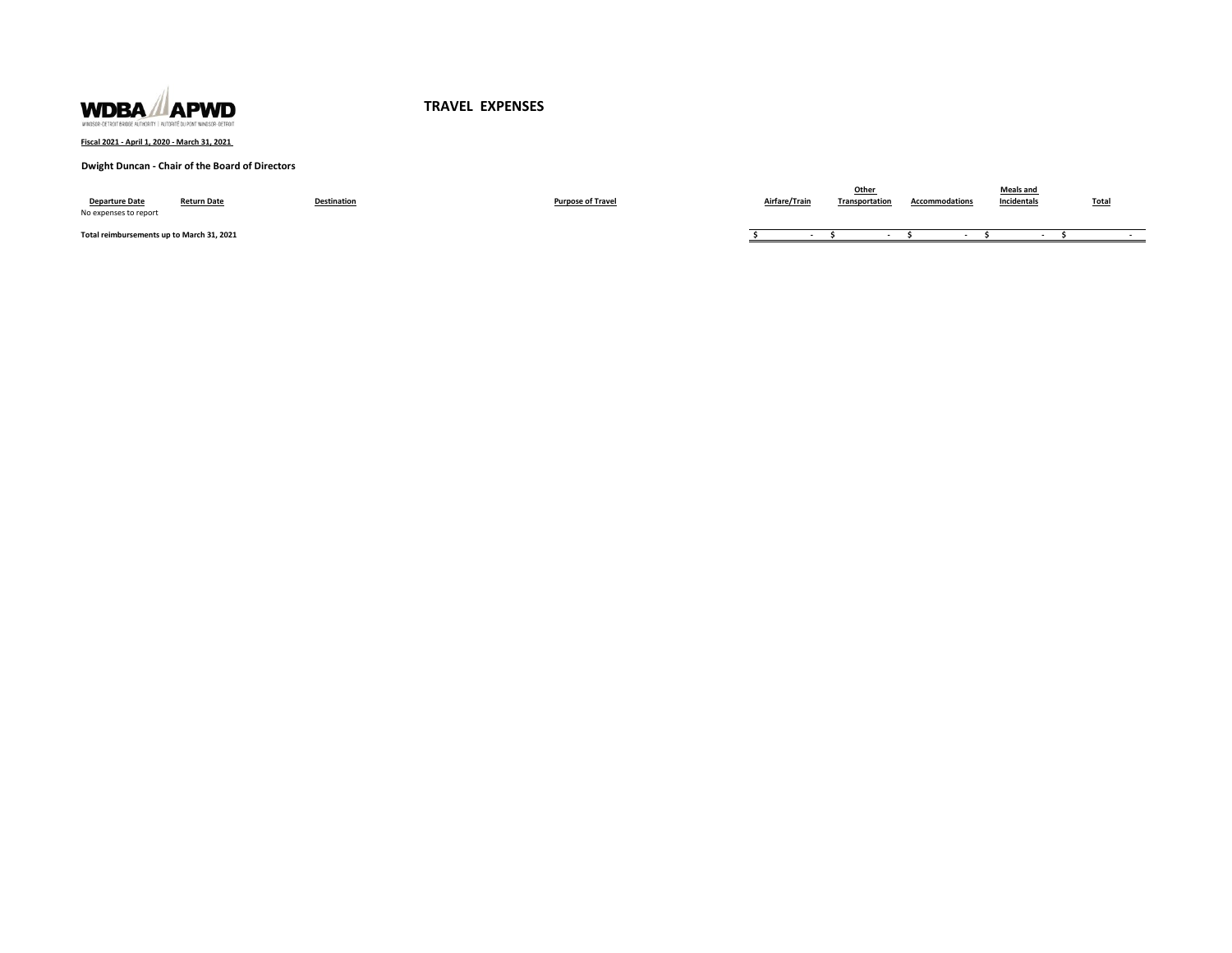

**Fiscal 2021 - April 1, 2020 - March 31, 2021** 

### **Dwight Duncan - Chair of the Board of Directors**

| <b>Departure Date</b><br>No expenses to report | <b>Return Date</b> | <b>Destination</b> | <b>Purpose of Travel</b> | Airfare/Train | Other<br>Transportation | <b>Accommodations</b> | <b>Meals and</b><br>Incidentals | <b>Total</b> |
|------------------------------------------------|--------------------|--------------------|--------------------------|---------------|-------------------------|-----------------------|---------------------------------|--------------|
| Total reimbursements up to March 31, 2021      |                    |                    |                          |               |                         |                       |                                 |              |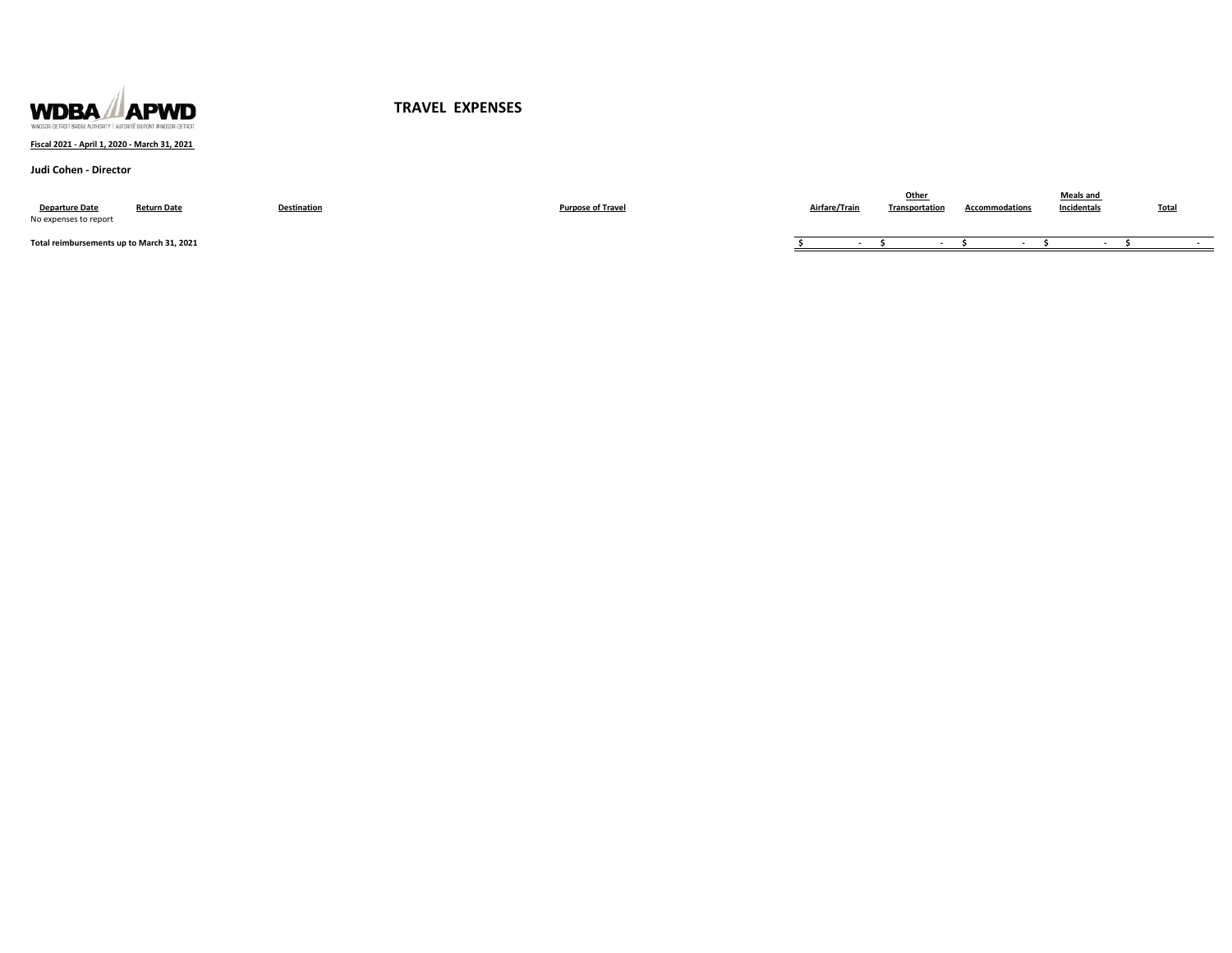

## **Fiscal 2021 - April 1, 2020 - March 31, 2021**

### **Judi Cohen - Director**

| <b>Departure Date</b><br>No expenses to report | <b>Return Date</b> | Destination | Purpose of Travel | Airfare/Train | Othe<br>Transportation | <b>Accommodations</b> | Meals and<br>Incidentals | <b>Total</b> |
|------------------------------------------------|--------------------|-------------|-------------------|---------------|------------------------|-----------------------|--------------------------|--------------|
| Total reimbursements up to March 31, 2021      |                    |             |                   |               |                        |                       |                          |              |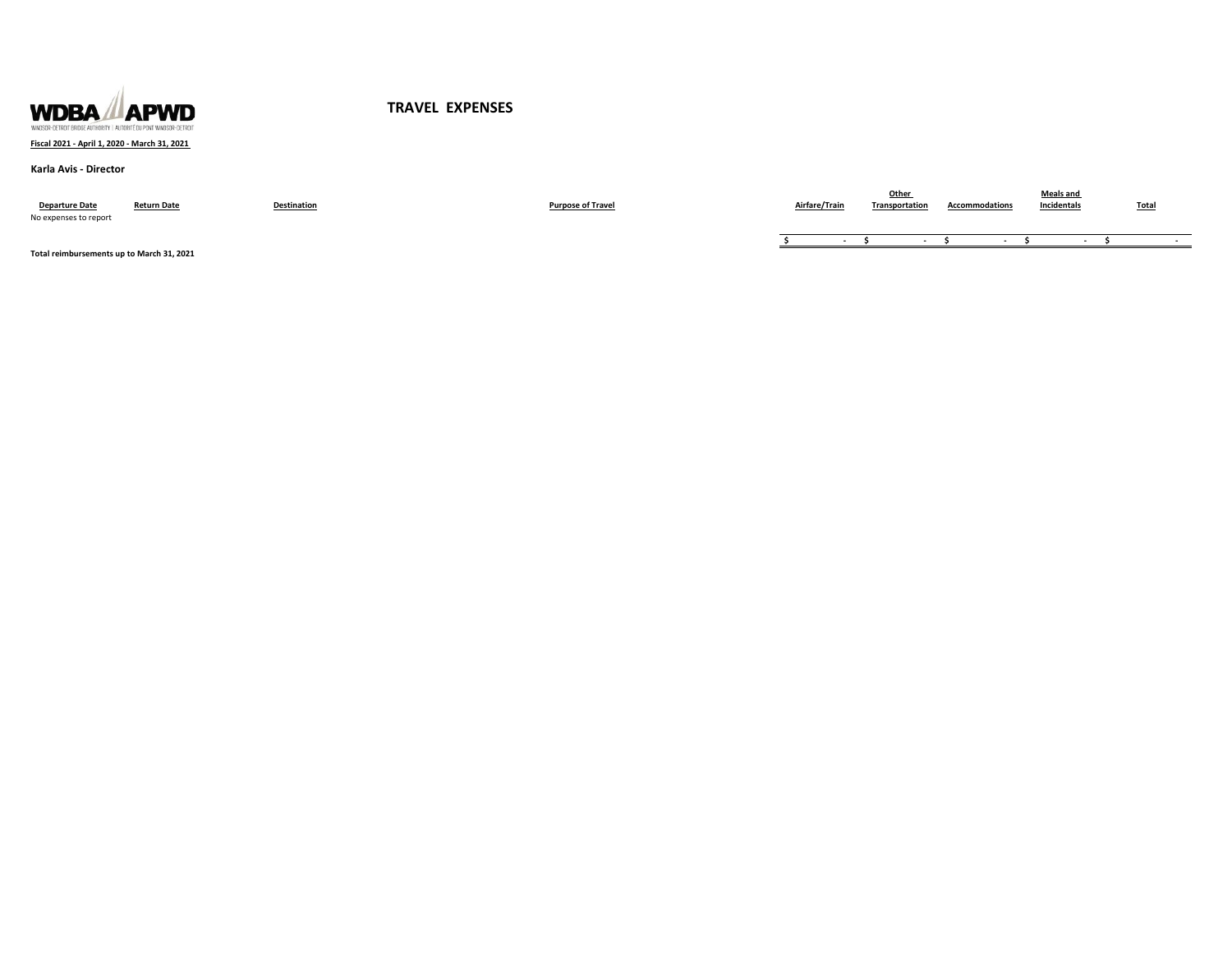

### **Fiscal 2021 - April 1, 2020 - March 31, 2021**

#### **Karla Avis - Director**

| <b>Departure Date</b><br>No expenses to report | <b>Return Date</b> | Destination | <b>Purpose of Travel</b> | Airfare/Train | Transportation | Accommodations | Meals ano<br>Incidentals | <b>Total</b> |
|------------------------------------------------|--------------------|-------------|--------------------------|---------------|----------------|----------------|--------------------------|--------------|
|                                                |                    |             |                          |               |                |                |                          |              |

**Total reimbursements up to March 31, 2021**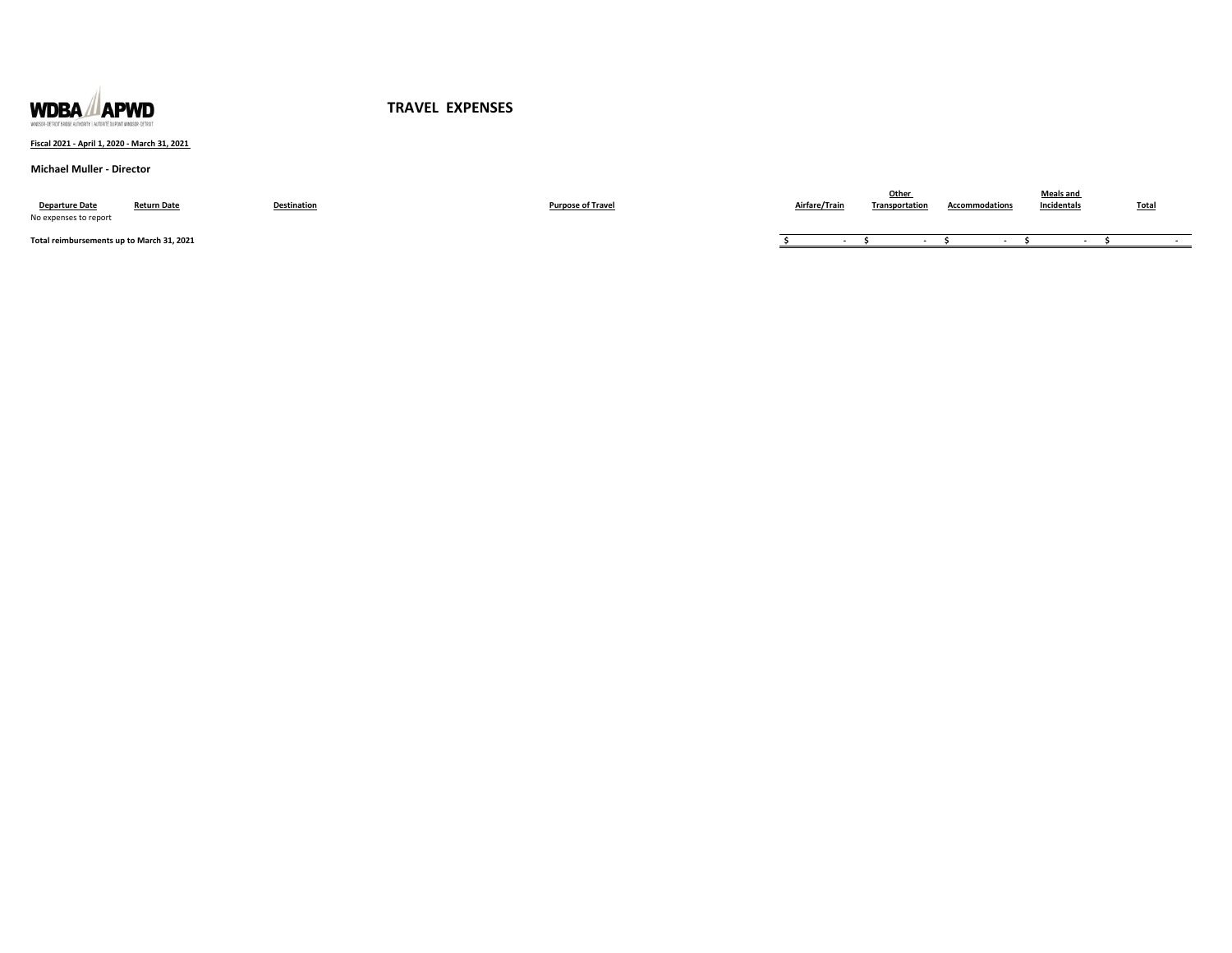

### **Fiscal 2021 - April 1, 2020 - March 31, 2021**

#### **Michael Muller - Director**

| <b>Departure Date</b><br>No expenses to report | <b>Return Date</b> | Destination | <b>Purpose of Travel</b> | Airfare/Train | Other<br>Transportation | <b>Accommodations</b> | <b>Meals and</b><br>Incidentals | Total |
|------------------------------------------------|--------------------|-------------|--------------------------|---------------|-------------------------|-----------------------|---------------------------------|-------|
| Total reimbursements up to March 31, 2021      |                    |             |                          |               |                         |                       |                                 |       |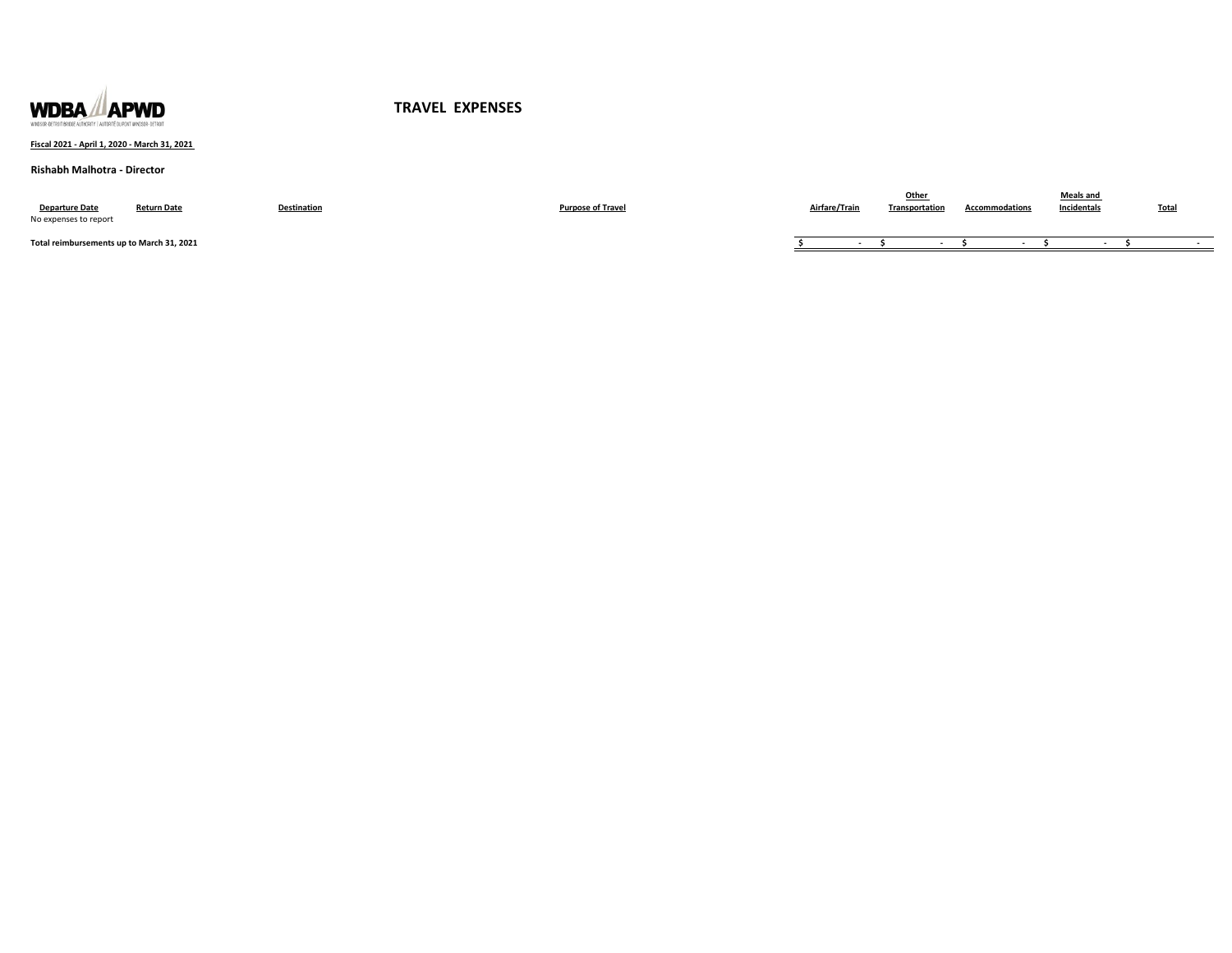

## **Fiscal 2021 - April 1, 2020 - March 31, 2021**

### **Rishabh Malhotra - Director**

| <b>Departure Date</b><br>No expenses to report | <b>Return Date</b> | <b>Destination</b> | <b>Purpose of Travel</b> | Airfare/Train | Othe<br>Transportation | <b>Accommodations</b> | <b>Meals and</b><br>Incidentals | <b>Total</b> |
|------------------------------------------------|--------------------|--------------------|--------------------------|---------------|------------------------|-----------------------|---------------------------------|--------------|
| Total reimbursements up to March 31, 2021      |                    |                    |                          |               |                        |                       |                                 |              |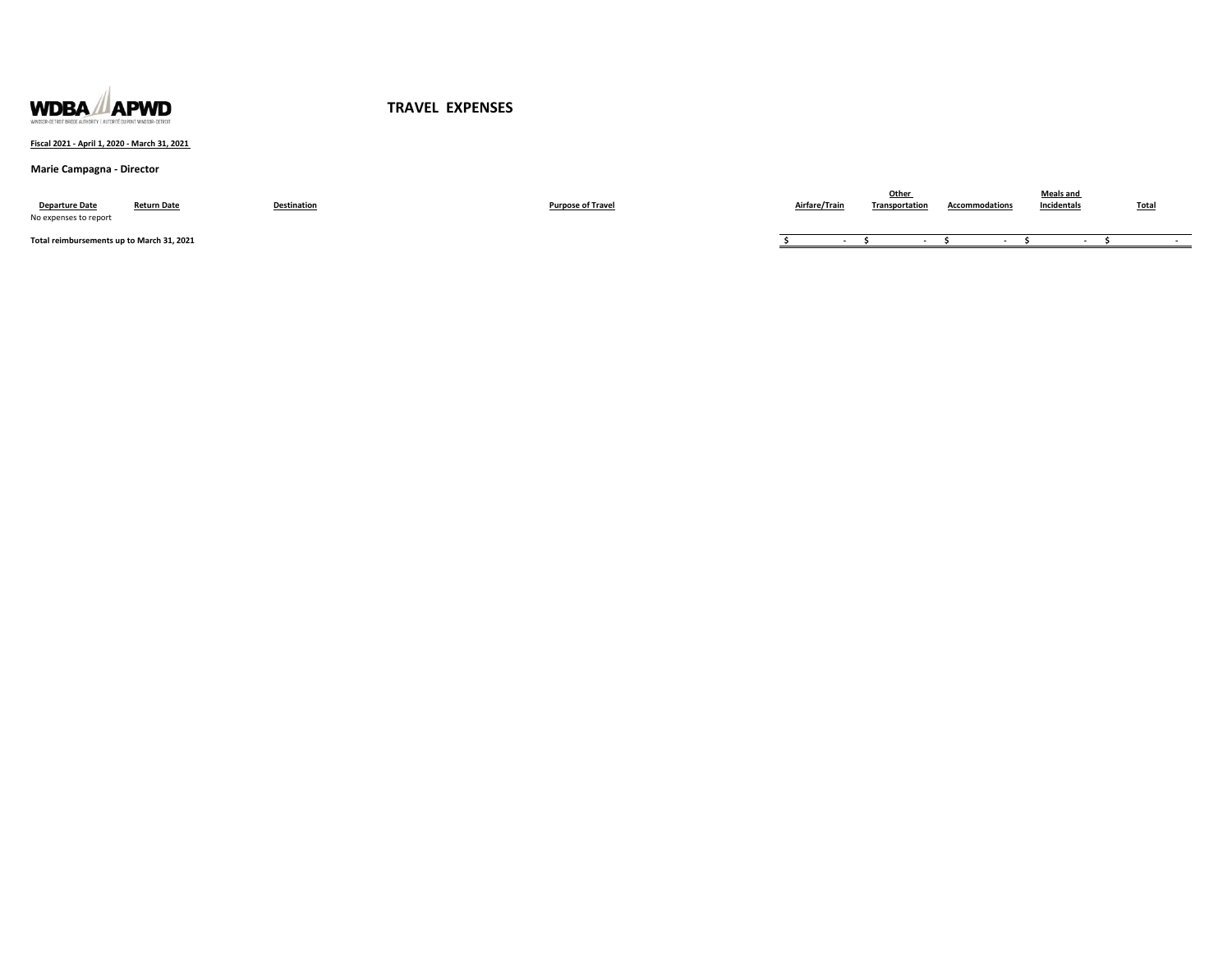

### **Fiscal 2021 - April 1, 2020 - March 31, 2021**

# **Marie Campagna - Director**

| <b>Departure Date</b><br>No expenses to report | <b>Return Date</b> | Destination | <b>Purpose of Travel</b> | Airfare/Train | Other<br>Transportation | <b>Accommodations</b> | <b>Meals and</b><br>Incidentals | Total |
|------------------------------------------------|--------------------|-------------|--------------------------|---------------|-------------------------|-----------------------|---------------------------------|-------|
| Total reimbursements up to March 31, 2021      |                    |             |                          |               |                         |                       |                                 |       |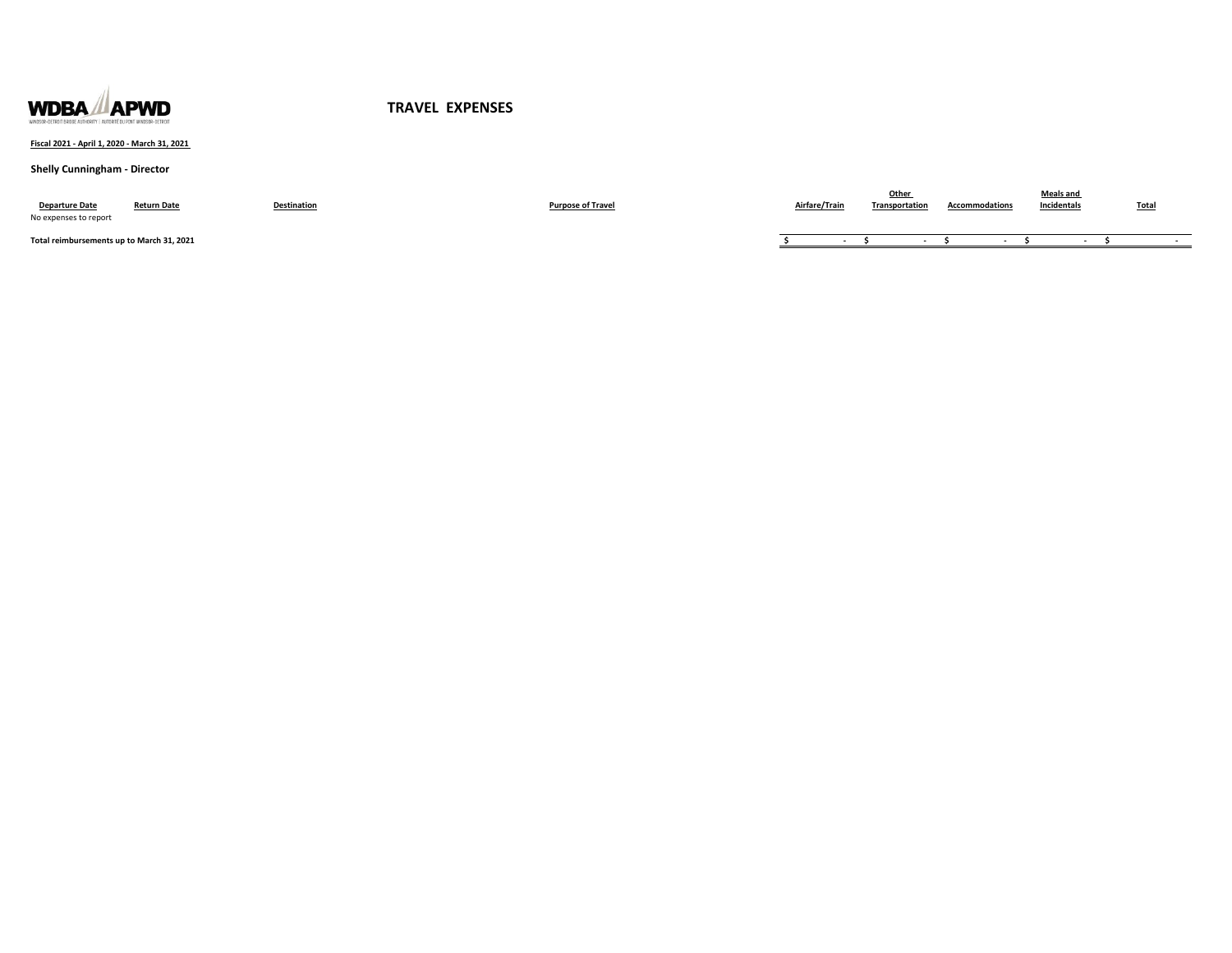

### **Fiscal 2021 - April 1, 2020 - March 31, 2021**

# **Shelly Cunningham - Director**

| <b>Departure Date</b><br>No expenses to report | <b>Return Date</b> | <b>Destination</b> | <b>Purpose of Travel</b> | Airfare/Trair | Otheı<br>Transportation | Accommodations | Meals and<br>Incidentals | <b>Total</b> |
|------------------------------------------------|--------------------|--------------------|--------------------------|---------------|-------------------------|----------------|--------------------------|--------------|
| Total reimbursements up to March 31, 2021      |                    |                    |                          |               |                         |                |                          |              |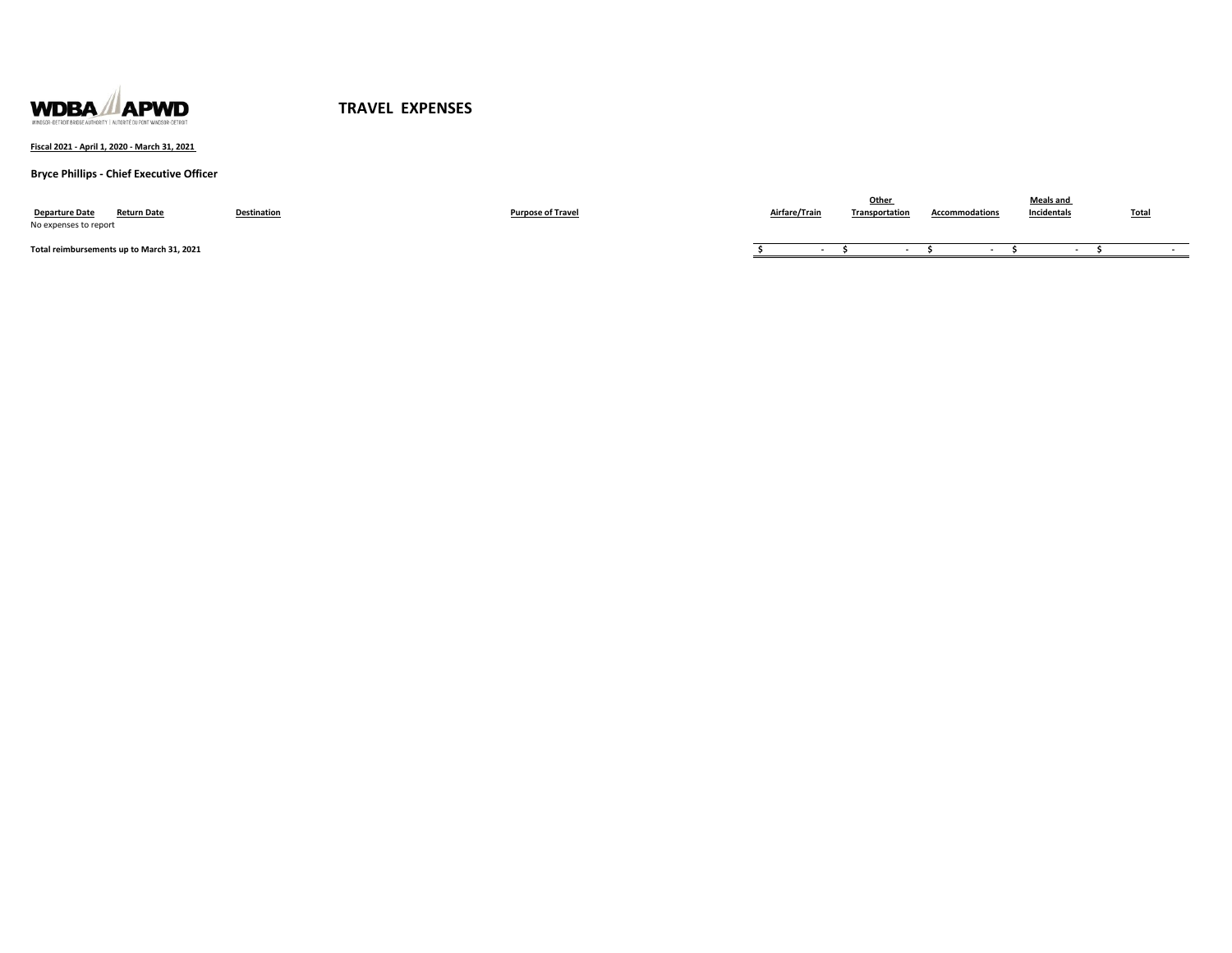

**Fiscal 2021 - April 1, 2020 - March 31, 2021** 

**Bryce Phillips - Chief Executive Officer**

| <b>Departure Date</b><br><b>Return Date</b><br>No expenses to report | <b>Destination</b> | <b>Purpose of Travel</b> | Airfare/Train | Other<br>Transportation | <b>Accommodations</b> | <b>Meals and</b><br>Incidentals | <b>Total</b> |
|----------------------------------------------------------------------|--------------------|--------------------------|---------------|-------------------------|-----------------------|---------------------------------|--------------|
| Total reimbursements up to March 31, 2021                            |                    |                          |               |                         |                       |                                 |              |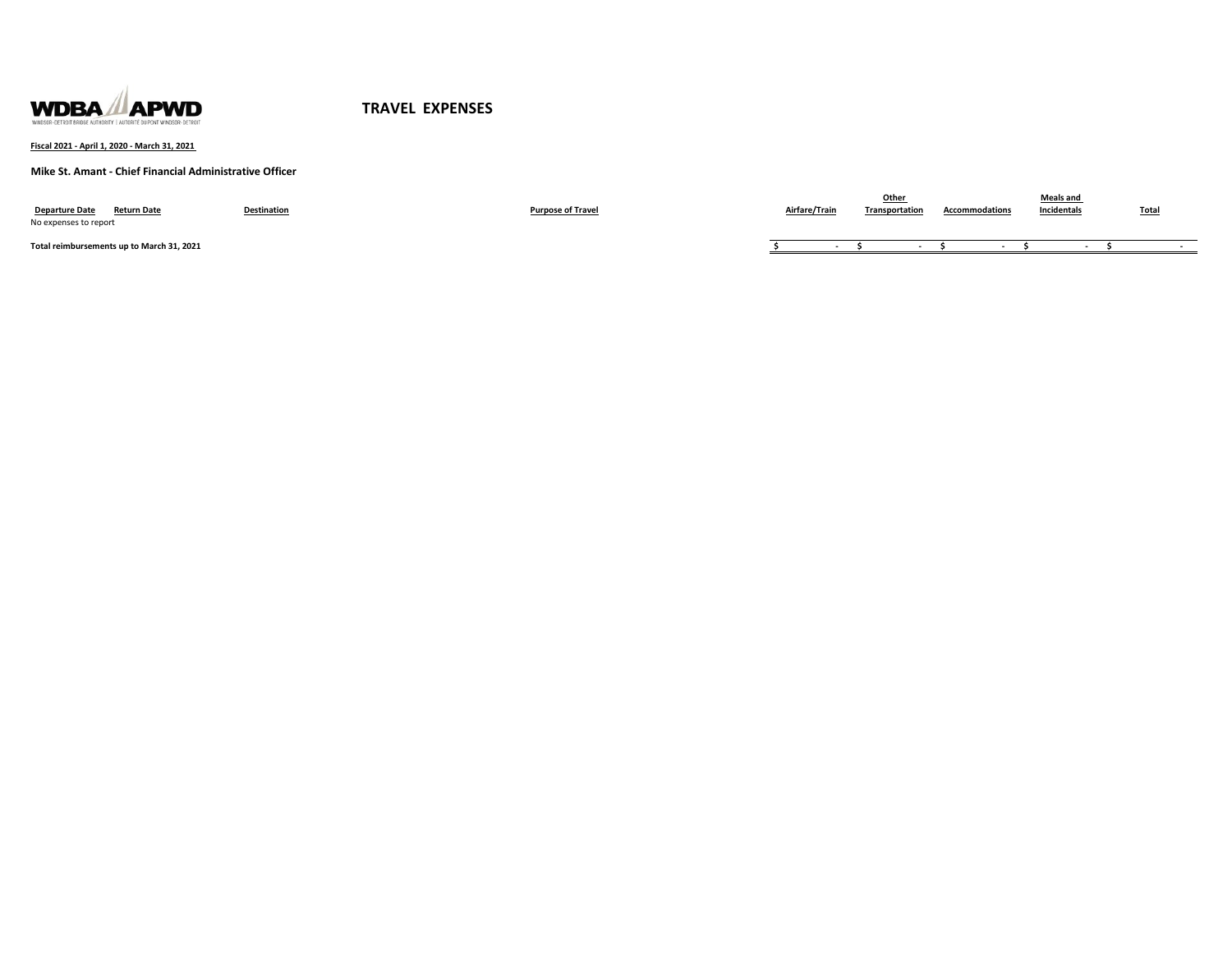

**Fiscal 2021 - April 1, 2020 - March 31, 2021** 

**Mike St. Amant - Chief Financial Administrative Officer**

| <b>Departure Date</b><br><b>Return Date</b><br>No expenses to report | Destination | <b>Purpose of Travel</b> | Airfare/Train | Other<br>Transportation | <b>Accommodations</b> | <b>Meals and</b><br>Incidentals | <b>Total</b> |
|----------------------------------------------------------------------|-------------|--------------------------|---------------|-------------------------|-----------------------|---------------------------------|--------------|
| Total reimbursements up to March 31, 2021                            |             |                          |               |                         |                       |                                 |              |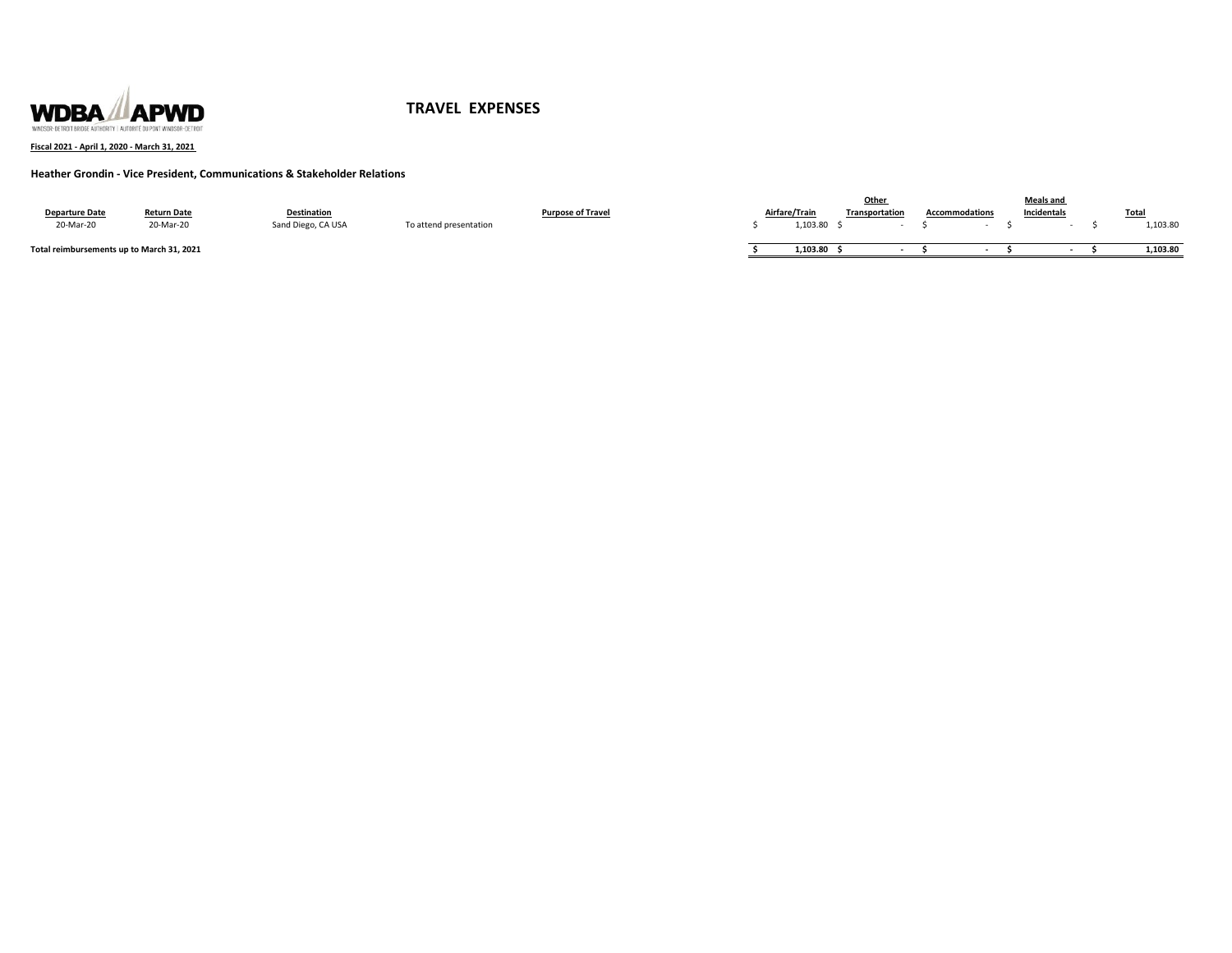

### **Fiscal 2021 - April 1, 2020 - March 31, 2021**

# **Heather Grondin - Vice President, Communications & Stakeholder Relations**

|                                           |                    |                    |                        |                          |               | Other          |                       | <b>Meals and</b> |             |
|-------------------------------------------|--------------------|--------------------|------------------------|--------------------------|---------------|----------------|-----------------------|------------------|-------------|
| <b>Departure Date</b>                     | <b>Return Date</b> | <b>Destination</b> |                        | <b>Purpose of Travel</b> | Airfare/Train | Transportation | <b>Accommodations</b> | Incidentals      | <b>Tota</b> |
| 20-Mar-20                                 | 20-Mar-20          | Sand Diego, CA USA | To attend presentation |                          | 1,103.80      |                |                       |                  | 1,103.80    |
| Total reimbursements up to March 31, 2021 |                    |                    |                        |                          | 1.103.80      |                |                       |                  | 1,103.80    |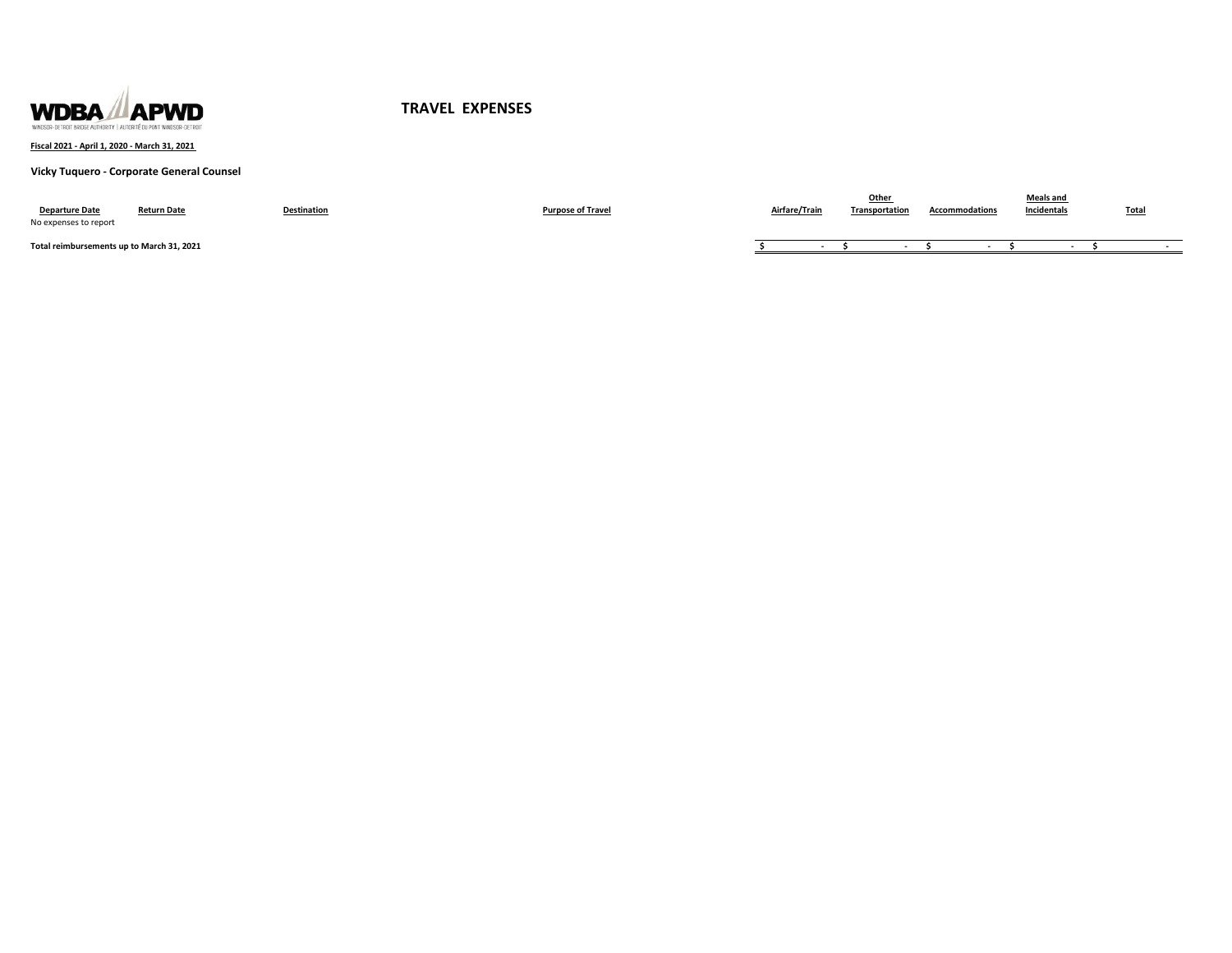

**Fiscal 2021 - April 1, 2020 - March 31, 2021** 

### **Vicky Tuquero - Corporate General Counsel**

| <b>Departure Date</b><br>No expenses to report | <b>Return Date</b> | <b>Destination</b> | <b>Purpose of Travel</b> | Airfare/Train | Other<br>Transportation | Accommodations | <b>Meals and</b><br><b>Incidentals</b> | <b>Total</b> |
|------------------------------------------------|--------------------|--------------------|--------------------------|---------------|-------------------------|----------------|----------------------------------------|--------------|
| Total reimbursements up to March 31, 2021      |                    |                    |                          |               |                         |                |                                        |              |